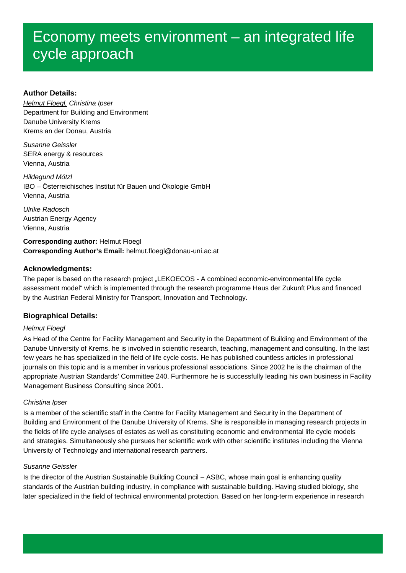# **Author Details:**

*Helmut Floegl, Christina Ipser* Department for Building and Environment Danube University Krems Krems an der Donau, Austria

*Susanne Geissler* SERA energy & resources Vienna, Austria

*Hildegund Mötzl* IBO – Österreichisches Institut für Bauen und Ökologie GmbH Vienna, Austria

*Ulrike Radosch* Austrian Energy Agency Vienna, Austria

**Corresponding author:** Helmut Floegl **Corresponding Author's Email:** helmut.floegl@donau-uni.ac.at

# **Acknowledgments:**

The paper is based on the research project "LEKOECOS - A combined economic-environmental life cycle assessment model" which is implemented through the research programme Haus der Zukunft Plus and financed by the Austrian Federal Ministry for Transport, Innovation and Technology.

# **Biographical Details:**

# *Helmut Floegl*

As Head of the Centre for Facility Management and Security in the Department of Building and Environment of the Danube University of Krems, he is involved in scientific research, teaching, management and consulting. In the last few years he has specialized in the field of life cycle costs. He has published countless articles in professional journals on this topic and is a member in various professional associations. Since 2002 he is the chairman of the appropriate Austrian Standards' Committee 240. Furthermore he is successfully leading his own business in Facility Management Business Consulting since 2001.

# *Christina Ipser*

Is a member of the scientific staff in the Centre for Facility Management and Security in the Department of Building and Environment of the Danube University of Krems. She is responsible in managing research projects in the fields of life cycle analyses of estates as well as constituting economic and environmental life cycle models and strategies. Simultaneously she pursues her scientific work with other scientific institutes including the Vienna University of Technology and international research partners.

# *Susanne Geissler*

Is the director of the Austrian Sustainable Building Council – ASBC, whose main goal is enhancing quality standards of the Austrian building industry, in compliance with sustainable building. Having studied biology, she later specialized in the field of technical environmental protection. Based on her long-term experience in research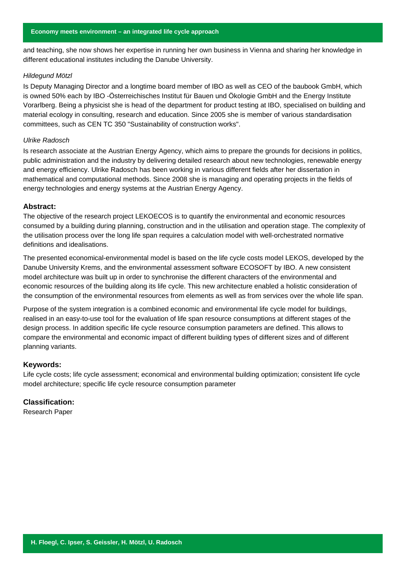and teaching, she now shows her expertise in running her own business in Vienna and sharing her knowledge in different educational institutes including the Danube University.

#### *Hildegund Mötzl*

Is Deputy Managing Director and a longtime board member of IBO as well as CEO of the baubook GmbH, which is owned 50% each by IBO -Österreichisches Institut für Bauen und Ökologie GmbH and the Energy Institute Vorarlberg. Being a physicist she is head of the department for product testing at IBO, specialised on building and material ecology in consulting, research and education. Since 2005 she is member of various standardisation committees, such as CEN TC 350 "Sustainability of construction works".

# *Ulrike Radosch*

Is research associate at the Austrian Energy Agency, which aims to prepare the grounds for decisions in politics, public administration and the industry by delivering detailed research about new technologies, renewable energy and energy efficiency. Ulrike Radosch has been working in various different fields after her dissertation in mathematical and computational methods. Since 2008 she is managing and operating projects in the fields of energy technologies and energy systems at the Austrian Energy Agency.

#### **Abstract:**

The objective of the research project LEKOECOS is to quantify the environmental and economic resources consumed by a building during planning, construction and in the utilisation and operation stage. The complexity of the utilisation process over the long life span requires a calculation model with well-orchestrated normative definitions and idealisations.

The presented economical-environmental model is based on the life cycle costs model LEKOS, developed by the Danube University Krems, and the environmental assessment software ECOSOFT by IBO. A new consistent model architecture was built up in order to synchronise the different characters of the environmental and economic resources of the building along its life cycle. This new architecture enabled a holistic consideration of the consumption of the environmental resources from elements as well as from services over the whole life span.

Purpose of the system integration is a combined economic and environmental life cycle model for buildings, realised in an easy-to-use tool for the evaluation of life span resource consumptions at different stages of the design process. In addition specific life cycle resource consumption parameters are defined. This allows to compare the environmental and economic impact of different building types of different sizes and of different planning variants.

#### **Keywords:**

Life cycle costs; life cycle assessment; economical and environmental building optimization; consistent life cycle model architecture; specific life cycle resource consumption parameter

## **Classification:**

Research Paper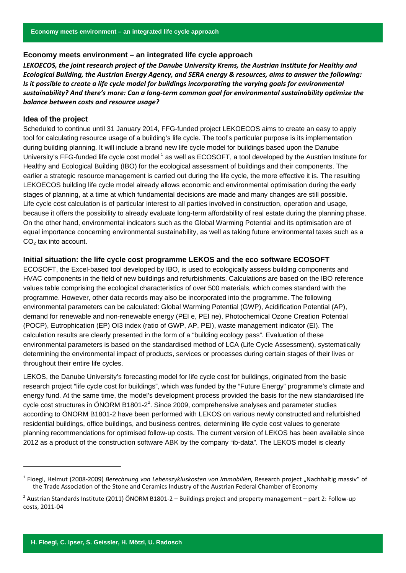*LEKOECOS, the joint research project of the Danube University Krems, the Austrian Institute for Healthy and Ecological Building, the Austrian Energy Agency, and SERA energy & resources, aims to answer the following:* Is it possible to create a life cycle model for buildings incorporating the varying goals for environmental *sustainability? And there's more: Can a long‐term common goal for environmental sustainability optimize the balance between costs and resource usage?*

#### **Idea of the project**

Scheduled to continue until 31 January 2014, FFG-funded project LEKOECOS aims to create an easy to apply tool for calculating resource usage of a building's life cycle. The tool's particular purpose is its implementation during building planning. It will include a brand new life cycle model for buildings based upon the Danube University's FFG-funded life cycle cost model<sup>1</sup> as well as ECOSOFT, a tool developed by the Austrian Institute for Healthy and Ecological Building (IBO) for the ecological assessment of buildings and their components. The earlier a strategic resource management is carried out during the life cycle, the more effective it is. The resulting LEKOECOS building life cycle model already allows economic and environmental optimisation during the early stages of planning, at a time at which fundamental decisions are made and many changes are still possible. Life cycle cost calculation is of particular interest to all parties involved in construction, operation and usage, because it offers the possibility to already evaluate long-term affordability of real estate during the planning phase. On the other hand, environmental indicators such as the Global Warming Potential and its optimisation are of equal importance concerning environmental sustainability, as well as taking future environmental taxes such as a  $CO<sub>2</sub>$  tax into account.

#### **Initial situation: the life cycle cost programme LEKOS and the eco software ECOSOFT**

ECOSOFT, the Excel-based tool developed by IBO, is used to ecologically assess building components and HVAC components in the field of new buildings and refurbishments. Calculations are based on the IBO reference values table comprising the ecological characteristics of over 500 materials, which comes standard with the programme. However, other data records may also be incorporated into the programme. The following environmental parameters can be calculated: Global Warming Potential (GWP), Acidification Potential (AP), demand for renewable and non-renewable energy (PEI e, PEI ne), Photochemical Ozone Creation Potential (POCP), Eutrophication (EP) OI3 index (ratio of GWP, AP, PEI), waste management indicator (EI). The calculation results are clearly presented in the form of a "building ecology pass". Evaluation of these environmental parameters is based on the standardised method of LCA (Life Cycle Assessment), systematically determining the environmental impact of products, services or processes during certain stages of their lives or throughout their entire life cycles.

LEKOS, the Danube University's forecasting model for life cycle cost for buildings, originated from the basic research project "life cycle cost for buildings", which was funded by the "Future Energy" programme's climate and energy fund. At the same time, the model's development process provided the basis for the new standardised life cycle cost structures in ÖNORM B1801-2<sup>2</sup>. Since 2009, comprehensive analyses and parameter studies according to ÖNORM B1801-2 have been performed with LEKOS on various newly constructed and refurbished residential buildings, office buildings, and business centres, determining life cycle cost values to generate planning recommendations for optimised follow-up costs. The current version of LEKOS has been available since 2012 as a product of the construction software ABK by the company "ib-data". The LEKOS model is clearly

l

<sup>1</sup> Floegl, Helmut (2008‐2009) *Berechnung von Lebenszykluskosten von Immobilien,* Research project "Nachhaltig massiv" of the Trade Association of the Stone and Ceramics Industry of the Austrian Federal Chamber of Economy

 $2$  Austrian Standards Institute (2011) ÖNORM B1801-2 – Buildings project and property management – part 2: Follow-up costs, 2011‐04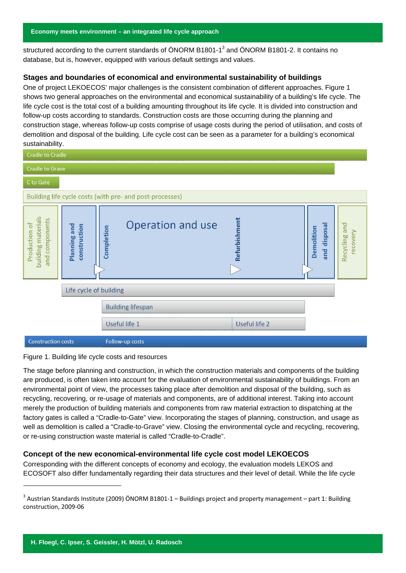structured according to the current standards of ÖNORM B1801-1<sup>3</sup> and ÖNORM B1801-2. It contains no database, but is, however, equipped with various default settings and values.

## **Stages and boundaries of economical and environmental sustainability of buildings**

One of project LEKOECOS' major challenges is the consistent combination of different approaches. Figure 1 shows two general approaches on the environmental and economical sustainability of a building's life cycle. The life cycle cost is the total cost of a building amounting throughout its life cycle. It is divided into construction and follow-up costs according to standards. Construction costs are those occurring during the planning and construction stage, whereas follow-up costs comprise of usage costs during the period of utilisation, and costs of demolition and disposal of the building. Life cycle cost can be seen as a parameter for a building's economical sustainability.

| <b>Cradle to Cradle</b>                                                               |                                                                                                    |          |  |  |  |
|---------------------------------------------------------------------------------------|----------------------------------------------------------------------------------------------------|----------|--|--|--|
| <b>Cradle to Grave</b>                                                                |                                                                                                    |          |  |  |  |
| C to Gate                                                                             |                                                                                                    |          |  |  |  |
| Building life cycle costs (with pre- and post-processes)                              |                                                                                                    |          |  |  |  |
| building materials<br>and components<br>Production of<br>Planning and<br>construction | Refurbishment<br>Operation and use<br>Recycling and<br>disposal<br>Completion<br>Demolition<br>and | recovery |  |  |  |
| Life cycle of building                                                                |                                                                                                    |          |  |  |  |
| <b>Building lifespan</b>                                                              |                                                                                                    |          |  |  |  |
|                                                                                       | Useful life 1<br>Useful life 2                                                                     |          |  |  |  |
| <b>Construction costs</b>                                                             | Follow-up costs                                                                                    |          |  |  |  |

#### Figure 1. Building life cycle costs and resources

The stage before planning and construction, in which the construction materials and components of the building are produced, is often taken into account for the evaluation of environmental sustainability of buildings. From an environmental point of view, the processes taking place after demolition and disposal of the building, such as recycling, recovering, or re-usage of materials and components, are of additional interest. Taking into account merely the production of building materials and components from raw material extraction to dispatching at the factory gates is called a "Cradle-to-Gate" view. Incorporating the stages of planning, construction, and usage as well as demolition is called a "Cradle-to-Grave" view. Closing the environmental cycle and recycling, recovering, or re-using construction waste material is called "Cradle-to-Cradle".

#### **Concept of the new economical-environmental life cycle cost model LEKOECOS**

Corresponding with the different concepts of economy and ecology, the evaluation models LEKOS and ECOSOFT also differ fundamentally regarding their data structures and their level of detail. While the life cycle

 $\overline{a}$ 

<sup>&</sup>lt;sup>3</sup> Austrian Standards Institute (2009) ÖNORM B1801-1 – Buildings project and property management – part 1: Building construction, 2009‐06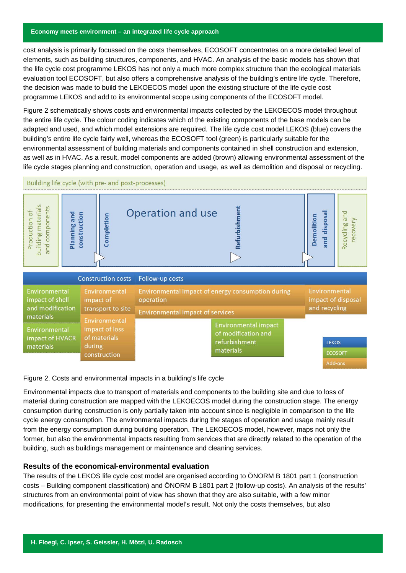cost analysis is primarily focussed on the costs themselves, ECOSOFT concentrates on a more detailed level of elements, such as building structures, components, and HVAC. An analysis of the basic models has shown that the life cycle cost programme LEKOS has not only a much more complex structure than the ecological materials evaluation tool ECOSOFT, but also offers a comprehensive analysis of the building's entire life cycle. Therefore, the decision was made to build the LEKOECOS model upon the existing structure of the life cycle cost programme LEKOS and add to its environmental scope using components of the ECOSOFT model.

Figure 2 schematically shows costs and environmental impacts collected by the LEKOECOS model throughout the entire life cycle. The colour coding indicates which of the existing components of the base models can be adapted and used, and which model extensions are required. The life cycle cost model LEKOS (blue) covers the building's entire life cycle fairly well, whereas the ECOSOFT tool (green) is particularly suitable for the environmental assessment of building materials and components contained in shell construction and extension, as well as in HVAC. As a result, model components are added (brown) allowing environmental assessment of the life cycle stages planning and construction, operation and usage, as well as demolition and disposal or recycling.



Figure 2. Costs and environmental impacts in a building's life cycle

Environmental impacts due to transport of materials and components to the building site and due to loss of material during construction are mapped with the LEKOECOS model during the construction stage. The energy consumption during construction is only partially taken into account since is negligible in comparison to the life cycle energy consumption. The environmental impacts during the stages of operation and usage mainly result from the energy consumption during building operation. The LEKOECOS model, however, maps not only the former, but also the environmental impacts resulting from services that are directly related to the operation of the building, such as buildings management or maintenance and cleaning services.

# **Results of the economical-environmental evaluation**

The results of the LEKOS life cycle cost model are organised according to ÖNORM B 1801 part 1 (construction costs – Building component classification) and ÖNORM B 1801 part 2 (follow-up costs). An analysis of the results' structures from an environmental point of view has shown that they are also suitable, with a few minor modifications, for presenting the environmental model's result. Not only the costs themselves, but also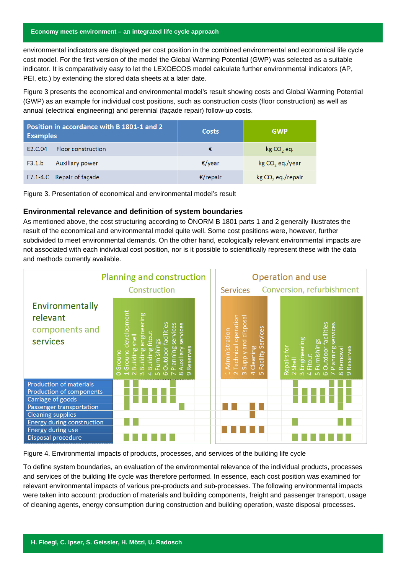environmental indicators are displayed per cost position in the combined environmental and economical life cycle cost model. For the first version of the model the Global Warming Potential (GWP) was selected as a suitable indicator. It is comparatively easy to let the LEXOECOS model calculate further environmental indicators (AP, PEI, etc.) by extending the stored data sheets at a later date.

Figure 3 presents the economical and environmental model's result showing costs and Global Warming Potential (GWP) as an example for individual cost positions, such as construction costs (floor construction) as well as annual (electrical engineering) and perennial (façade repair) follow-up costs.

| Position in accordance with B 1801-1 and 2<br><b>Examples</b> |                           | <b>Costs</b> | <b>GWP</b>                  |
|---------------------------------------------------------------|---------------------------|--------------|-----------------------------|
| F <sub>2</sub> .C.04                                          | Floor construction        | €            | $kg CO$ , eq.               |
| F3.1.b                                                        | Auxiliary power           | €/vear       | kg CO <sub>2</sub> eq./year |
|                                                               | F7.1-4.C Repair of façade | €/repair     | $kg CO2$ eq./repair         |

Figure 3. Presentation of economical and environmental model's result

# **Environmental relevance and definition of system boundaries**

As mentioned above, the cost structuring according to ÖNORM B 1801 parts 1 and 2 generally illustrates the result of the economical and environmental model quite well. Some cost positions were, however, further subdivided to meet environmental demands. On the other hand, ecologically relevant environmental impacts are not associated with each individual cost position, nor is it possible to scientifically represent these with the data and methods currently available.



Figure 4. Environmental impacts of products, processes, and services of the building life cycle

To define system boundaries, an evaluation of the environmental relevance of the individual products, processes and services of the building life cycle was therefore performed. In essence, each cost position was examined for relevant environmental impacts of various pre-products and sub-processes. The following environmental impacts were taken into account: production of materials and building components, freight and passenger transport, usage of cleaning agents, energy consumption during construction and building operation, waste disposal processes.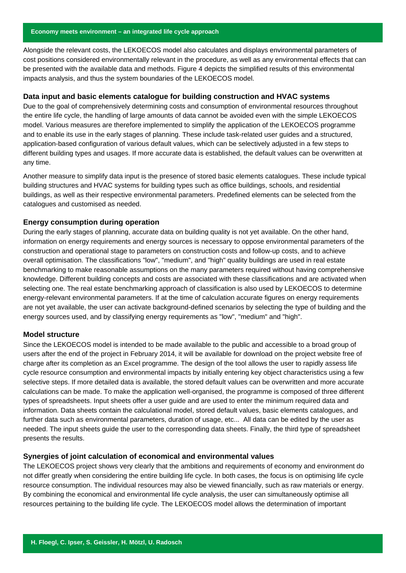Alongside the relevant costs, the LEKOECOS model also calculates and displays environmental parameters of cost positions considered environmentally relevant in the procedure, as well as any environmental effects that can be presented with the available data and methods. Figure 4 depicts the simplified results of this environmental impacts analysis, and thus the system boundaries of the LEKOECOS model.

## **Data input and basic elements catalogue for building construction and HVAC systems**

Due to the goal of comprehensively determining costs and consumption of environmental resources throughout the entire life cycle, the handling of large amounts of data cannot be avoided even with the simple LEKOECOS model. Various measures are therefore implemented to simplify the application of the LEKOECOS programme and to enable its use in the early stages of planning. These include task-related user guides and a structured, application-based configuration of various default values, which can be selectively adjusted in a few steps to different building types and usages. If more accurate data is established, the default values can be overwritten at any time.

Another measure to simplify data input is the presence of stored basic elements catalogues. These include typical building structures and HVAC systems for building types such as office buildings, schools, and residential buildings, as well as their respective environmental parameters. Predefined elements can be selected from the catalogues and customised as needed.

#### **Energy consumption during operation**

During the early stages of planning, accurate data on building quality is not yet available. On the other hand, information on energy requirements and energy sources is necessary to oppose environmental parameters of the construction and operational stage to parameters on construction costs and follow-up costs, and to achieve overall optimisation. The classifications "low", "medium", and "high" quality buildings are used in real estate benchmarking to make reasonable assumptions on the many parameters required without having comprehensive knowledge. Different building concepts and costs are associated with these classifications and are activated when selecting one. The real estate benchmarking approach of classification is also used by LEKOECOS to determine energy-relevant environmental parameters. If at the time of calculation accurate figures on energy requirements are not yet available, the user can activate background-defined scenarios by selecting the type of building and the energy sources used, and by classifying energy requirements as "low", "medium" and "high".

#### **Model structure**

Since the LEKOECOS model is intended to be made available to the public and accessible to a broad group of users after the end of the project in February 2014, it will be available for download on the project website free of charge after its completion as an Excel programme. The design of the tool allows the user to rapidly assess life cycle resource consumption and environmental impacts by initially entering key object characteristics using a few selective steps. If more detailed data is available, the stored default values can be overwritten and more accurate calculations can be made. To make the application well-organised, the programme is composed of three different types of spreadsheets. Input sheets offer a user guide and are used to enter the minimum required data and information. Data sheets contain the calculational model, stored default values, basic elements catalogues, and further data such as environmental parameters, duration of usage, etc... All data can be edited by the user as needed. The input sheets guide the user to the corresponding data sheets. Finally, the third type of spreadsheet presents the results.

#### **Synergies of joint calculation of economical and environmental values**

The LEKOECOS project shows very clearly that the ambitions and requirements of economy and environment do not differ greatly when considering the entire building life cycle. In both cases, the focus is on optimising life cycle resource consumption. The individual resources may also be viewed financially, such as raw materials or energy. By combining the economical and environmental life cycle analysis, the user can simultaneously optimise all resources pertaining to the building life cycle. The LEKOECOS model allows the determination of important